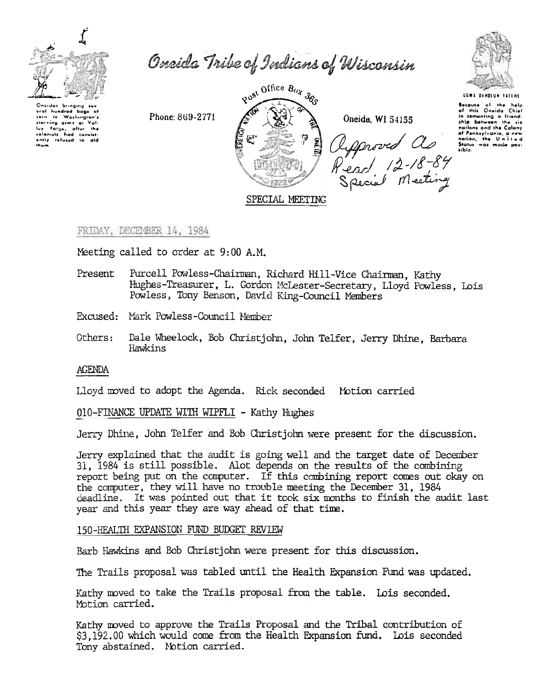

Oneida Tribe of Indians of Wisconsin

Oncidas bringing sus ural hundred bags of starving amery as Vali<br>luy Forgu, after the<br>colonists had consist-<br>wity refused to ald thum





USWA BENDLUN TATENS **Bocause** of the help<br>of this Onvide Chief in comonting a friend-<br>ship between the six ship between the Colony<br>notions and the Colony<br>of Pennsylvania, a new<br>notion, the United<br>Status was made possiblo.

### FRIDAY, DECEMBER 14, 1984

Meeting called to order at 9:00 A.M.

- Purcell Powless-Chairman, Richard Hill-Vice Chairman, Kathy Present Hughes-Treasurer, L. Gordon McLester-Secretary, Lloyd Powless, Lois Powless, Tony Benson, David King-Council Members
- Excused: Mark Powless-Council Member
- Others: Dale Wheelock, Bob Christjohn, John Telfer, Jerry Dhine, Barbara Hawkins

## **AGENDA**

Lloyd moved to adopt the Agenda. Rick seconded Motion carried

010-FINANCE UPDATE WITH WIPFLI - Kathy Hughes

Jerry Dhine, John Telfer and Bob Christjohn were present for the discussion.

Jerry explained that the audit is going well and the target date of December 31, 1984 is still possible. Alot depends on the results of the combining<br>report being put on the computer. If this combining report comes out okay on the computer, they will have no trouble meeting the December 31, 1984 deadline. It was pointed out that it took six months to finish the audit last year and this year they are way ahead of that time.

#### 150-HEALTH EXPANSION FUND BUDGET REVIEW

Barb Hawkins and Bob Christjohn were present for this discussion.

The Trails proposal was tabled until the Health Expansion Fund was updated.

Kathy moved to take the Trails proposal from the table. Lois seconded. Motion carried.

Kathy moved to approve the Trails Proposal and the Tribal contribution of \$3,192.00 which would come from the Health Expansion fund. Lois seconded Tony abstained. Motion carried.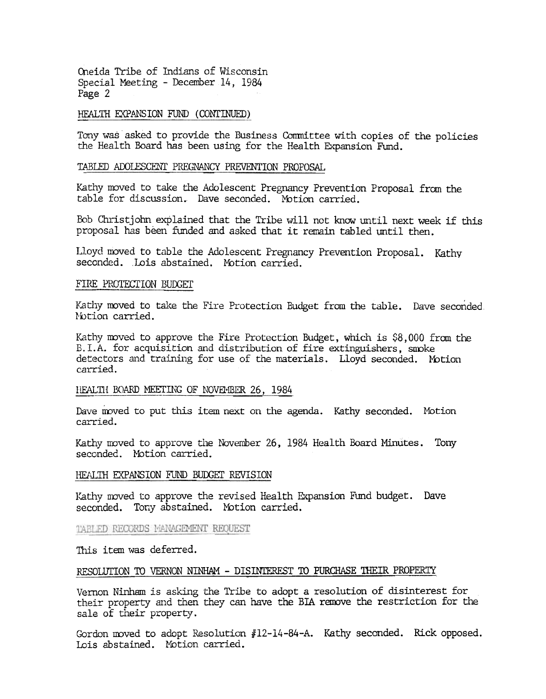Oneida Tribe of Indians of Wisconsin Special Meeting -December 14, 1984 Page 2

#### HEALTH EXPANSION FUND (CONTINUED)

Tony was asked to provide the Business Conmittee with copies of the policies the Health Board has been using for the Health Expansion Fund.

## TABLED ADOLESCENT PREGNANCY PREVENTION PROPOSAL

Kathy moved to take the Adolescent Pregnancy Prevention Proposal fram the table for discussion. Dave seconded. Motion carried.

Bob Christjohn explained that the Tribe will not know until next week if this proposal has been funded and asked that it remain tabled until then.

Lloyd moved to table the Adolescent Pregnancy Prevention Proposal. Kathy seconded. Lois abstained. Motion carried.

# FIRE PROTECTION BUDGET

Kathy moved to take the Fire Protection Budget from the table. Dave seconded Notion carried.

Kathy moved to approve the Fire Protection Budget, which is \$8,000 from the B. I.A. for acquisition and distribution of fire extinguishers, smoke detectors and training for use of the materials. Lloyd seconded. Motion carried. .

#### HEALTH BOARD MEETING OF NOVEMBER 26, 1984

Dave moved to put this item next on the agenda. Kathy seconded. Motion carried.

Kathy moved to approve the November 26, 1984 Health Board Minutes. Tony seconded. Motion carried.

#### HEALTH EXPANSION FUND BUDGET REVISION

Kathy moved to approve the revised Health Expansion Fund budget. Dave seconded. Tony abstained. Motion carried.

TARLED RECORDS MANAGEMENT REQUEST

This item was deferred.

#### RESOLUTION TO VERNON NINHAM - DISINTEREST TO PURCHASE THEIR PROPERTY

Vernon l\!inham is asking the Tribe to adopt a resolution of disinterest for their property and then they can have the BIA remove the restriction for the sale of their property.

Gordon moved to adopt Resolution #12-14-84-A. Kathy seconded. Rick opposed. Lois abstained. Motion carried.